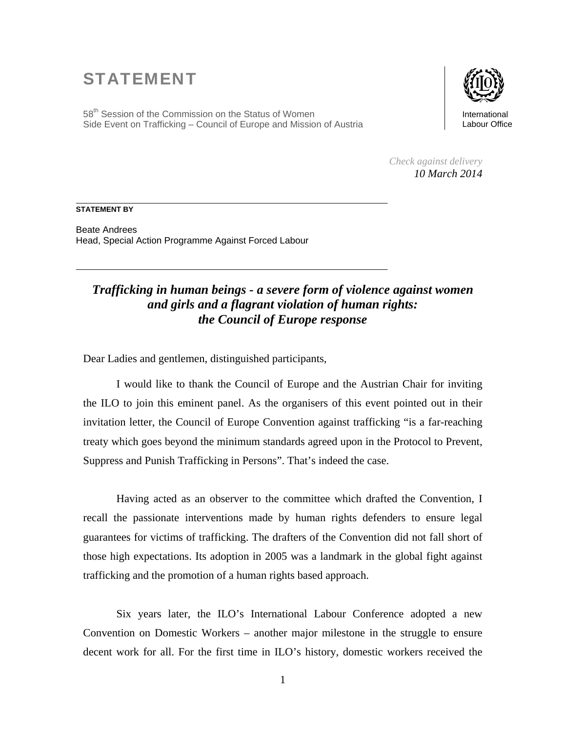## STATEMENT

58<sup>th</sup> Session of the Commission on the Status of Women Side Event on Trafficking – Council of Europe and Mission of Austria



*Check against delivery 10 March 2014* 

## **STATEMENT BY**

Beate Andrees Head, Special Action Programme Against Forced Labour

## *Trafficking in human beings - a severe form of violence against women and girls and a flagrant violation of human rights: the Council of Europe response*

Dear Ladies and gentlemen, distinguished participants,

I would like to thank the Council of Europe and the Austrian Chair for inviting the ILO to join this eminent panel. As the organisers of this event pointed out in their invitation letter, the Council of Europe Convention against trafficking "is a far-reaching treaty which goes beyond the minimum standards agreed upon in the Protocol to Prevent, Suppress and Punish Trafficking in Persons". That's indeed the case.

Having acted as an observer to the committee which drafted the Convention, I recall the passionate interventions made by human rights defenders to ensure legal guarantees for victims of trafficking. The drafters of the Convention did not fall short of those high expectations. Its adoption in 2005 was a landmark in the global fight against trafficking and the promotion of a human rights based approach.

Six years later, the ILO's International Labour Conference adopted a new Convention on Domestic Workers – another major milestone in the struggle to ensure decent work for all. For the first time in ILO's history, domestic workers received the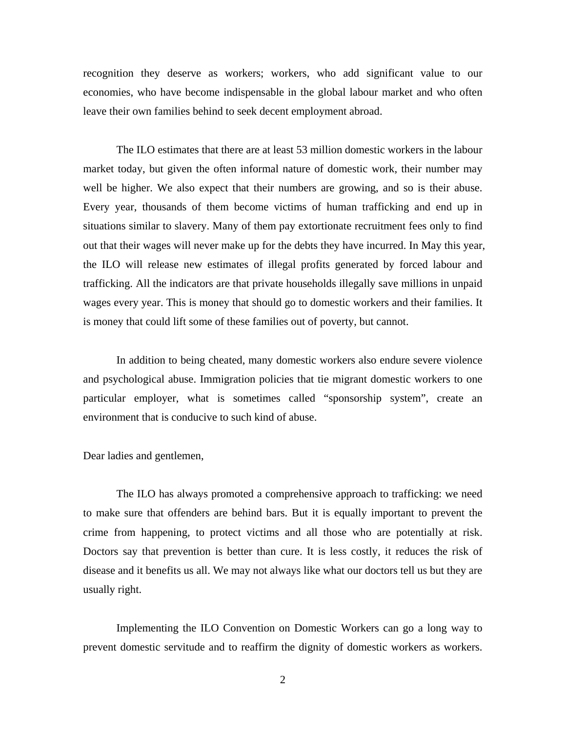recognition they deserve as workers; workers, who add significant value to our economies, who have become indispensable in the global labour market and who often leave their own families behind to seek decent employment abroad.

The ILO estimates that there are at least 53 million domestic workers in the labour market today, but given the often informal nature of domestic work, their number may well be higher. We also expect that their numbers are growing, and so is their abuse. Every year, thousands of them become victims of human trafficking and end up in situations similar to slavery. Many of them pay extortionate recruitment fees only to find out that their wages will never make up for the debts they have incurred. In May this year, the ILO will release new estimates of illegal profits generated by forced labour and trafficking. All the indicators are that private households illegally save millions in unpaid wages every year. This is money that should go to domestic workers and their families. It is money that could lift some of these families out of poverty, but cannot.

In addition to being cheated, many domestic workers also endure severe violence and psychological abuse. Immigration policies that tie migrant domestic workers to one particular employer, what is sometimes called "sponsorship system", create an environment that is conducive to such kind of abuse.

Dear ladies and gentlemen,

The ILO has always promoted a comprehensive approach to trafficking: we need to make sure that offenders are behind bars. But it is equally important to prevent the crime from happening, to protect victims and all those who are potentially at risk. Doctors say that prevention is better than cure. It is less costly, it reduces the risk of disease and it benefits us all. We may not always like what our doctors tell us but they are usually right.

Implementing the ILO Convention on Domestic Workers can go a long way to prevent domestic servitude and to reaffirm the dignity of domestic workers as workers.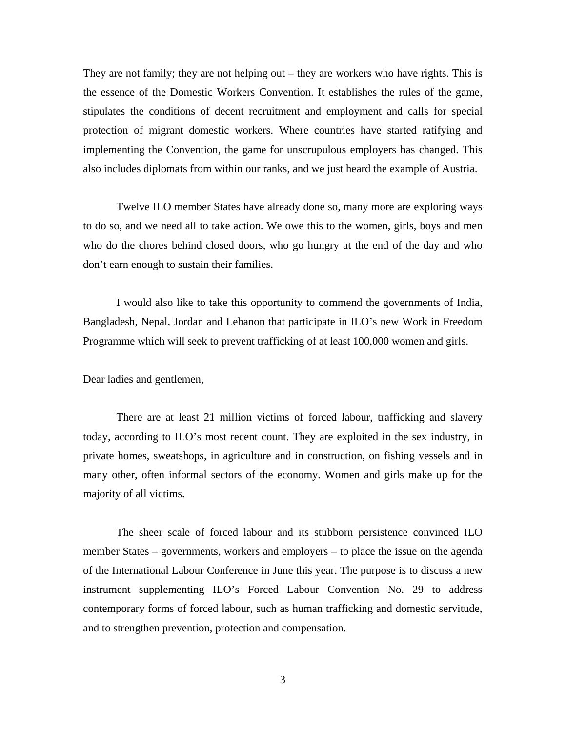They are not family; they are not helping out – they are workers who have rights. This is the essence of the Domestic Workers Convention. It establishes the rules of the game, stipulates the conditions of decent recruitment and employment and calls for special protection of migrant domestic workers. Where countries have started ratifying and implementing the Convention, the game for unscrupulous employers has changed. This also includes diplomats from within our ranks, and we just heard the example of Austria.

Twelve ILO member States have already done so, many more are exploring ways to do so, and we need all to take action. We owe this to the women, girls, boys and men who do the chores behind closed doors, who go hungry at the end of the day and who don't earn enough to sustain their families.

I would also like to take this opportunity to commend the governments of India, Bangladesh, Nepal, Jordan and Lebanon that participate in ILO's new Work in Freedom Programme which will seek to prevent trafficking of at least 100,000 women and girls.

Dear ladies and gentlemen,

There are at least 21 million victims of forced labour, trafficking and slavery today, according to ILO's most recent count. They are exploited in the sex industry, in private homes, sweatshops, in agriculture and in construction, on fishing vessels and in many other, often informal sectors of the economy. Women and girls make up for the majority of all victims.

The sheer scale of forced labour and its stubborn persistence convinced ILO member States – governments, workers and employers – to place the issue on the agenda of the International Labour Conference in June this year. The purpose is to discuss a new instrument supplementing ILO's Forced Labour Convention No. 29 to address contemporary forms of forced labour, such as human trafficking and domestic servitude, and to strengthen prevention, protection and compensation.